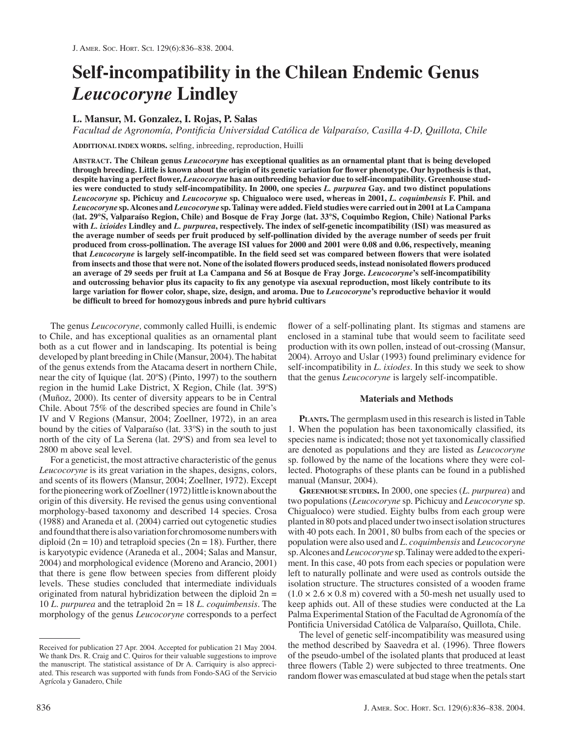# **Self-incompatibility in the Chilean Endemic Genus**  *Leucocoryne* **Lindley**

## **L. Mansur, M. Gonzalez, I. Rojas, P. Salas**

*Facultad de Agronomía, Pontificia Universidad Católica de Valparaíso, Casilla 4-D, Quillota, Chile* 

**ADDITIONAL INDEX WORDS.** selfing, inbreeding, reproduction, Huilli

**ABSTRACT. The Chilean genus** *Leucocoryne* **has exceptional qualities as an ornamental plant that is being developed through breeding. Little is known about the origin of its genetic variation for flower phenotype. Our hypothesis is that, despite having a perfect flower,** *Leucocoryne* **has an outbreeding behavior due to self-incompatibility. Greenhouse studies were conducted to study self-incompatibility. In 2000, one species** *L. purpurea* **Gay. and two distinct populations**  *Leucocoryne* **sp. Pichicuy and** *Leucocoryne* **sp. Chigualoco were used, whereas in 2001,** *L. coquimbensis* **F. Phil. and**  *Leucocoryne* **sp. Alcones and** *Leucocoryne* **sp. Talinay were added. Field studies were carried out in 2001 at La Campana (lat. 29°S, Valparaíso Region, Chile) and Bosque de Fray Jorge (lat. 33°S, Coquimbo Region, Chile) National Parks with** *L. ixioides* **Lindley and** *L. purpurea***, respectively. The index of self-genetic incompatibility (ISI) was measured as the average number of seeds per fruit produced by self-pollination divided by the average number of seeds per fruit produced from cross-pollination. The average ISI values for 2000 and 2001 were 0.08 and 0.06, respectively, meaning that** *Leucocoryne* **is largely self-incompatible. In the field seed set was compared between flowers that were isolated from insects and those that were not. None of the isolated flowers produced seeds, instead nonisolated flowers produced an average of 29 seeds per fruit at La Campana and 56 at Bosque de Fray Jorge.** *Leucocoryne***'s self-incompatibility and outcrossing behavior plus its capacity to fix any genotype via asexual reproduction, most likely contribute to its large variation for flower color, shape, size, design, and aroma. Due to** *Leucocoryne***'s reproductive behavior it would be difficult to breed for homozygous inbreds and pure hybrid cultivars** 

The genus *Leucocoryne,* commonly called Huilli, is endemic to Chile, and has exceptional qualities as an ornamental plant both as a cut flower and in landscaping. Its potential is being developed by plant breeding in Chile (Mansur, 2004). The habitat of the genus extends from the Atacama desert in northern Chile, near the city of Iquique (lat. 20ºS) (Pinto, 1997) to the southern region in the humid Lake District, X Region, Chile (lat. 39ºS) (Muñoz, 2000). Its center of diversity appears to be in Central Chile. About 75% of the described species are found in Chile's IV and V Regions (Mansur, 2004; Zoellner, 1972), in an area bound by the cities of Valparaíso (lat. 33ºS) in the south to just north of the city of La Serena (lat. 29ºS) and from sea level to 2800 m above seal level.

For a geneticist, the most attractive characteristic of the genus *Leucocoryne* is its great variation in the shapes, designs, colors, and scents of its flowers (Mansur, 2004; Zoellner, 1972). Except for the pioneering work of Zoellner (1972) little is known about the origin of this diversity. He revised the genus using conventional morphology-based taxonomy and described 14 species. Crosa (1988) and Araneda et al. (2004) carried out cytogenetic studies and found that there is also variation for chromosome numbers with diploid ( $2n = 10$ ) and tetraploid species ( $2n = 18$ ). Further, there is karyotypic evidence (Araneda et al., 2004; Salas and Mansur, 2004) and morphological evidence (Moreno and Arancio, 2001) that there is gene flow between species from different ploidy levels. These studies concluded that intermediate individuals originated from natural hybridization between the diploid  $2n =$ 10 *L. purpurea* and the tetraploid 2n = 18 *L. coquimbensis*. The morphology of the genus *Leucocoryne* corresponds to a perfect

flower of a self-pollinating plant. Its stigmas and stamens are enclosed in a staminal tube that would seem to facilitate seed production with its own pollen, instead of out-crossing (Mansur, 2004). Arroyo and Uslar (1993) found preliminary evidence for self-incompatibility in *L. ixiodes*. In this study we seek to show that the genus *Leucocoryne* is largely self-incompatible.

### **Materials and Methods**

**PLANTS.** The germplasm used in this research is listed in Table 1. When the population has been taxonomically classified, its species name is indicated; those not yet taxonomically classified are denoted as populations and they are listed as *Leucocoryne*  sp*.* followed by the name of the locations where they were collected. Photographs of these plants can be found in a published manual (Mansur, 2004).

**GREENHOUSE STUDIES.** In 2000, one species (*L. purpurea*) and two populations (*Leucocoryne* sp. Pichicuy and *Leucocoryne* sp. Chigualoco) were studied. Eighty bulbs from each group were planted in 80 pots and placed under two insect isolation structures with 40 pots each. In 2001, 80 bulbs from each of the species or population were also used and *L. coquimbensis* and *Leucocoryne*  sp. Alcones and *Leucocoryne* sp. Talinay were added to the experiment. In this case, 40 pots from each species or population were left to naturally pollinate and were used as controls outside the isolation structure. The structures consisted of a wooden frame  $(1.0 \times 2.6 \times 0.8 \text{ m})$  covered with a 50-mesh net usually used to keep aphids out. All of these studies were conducted at the La Palma Experimental Station of the Facultad de Agronomía of the Pontificia Universidad Católica de Valparaíso, Quillota, Chile.

The level of genetic self-incompatibility was measured using the method described by Saavedra et al. (1996). Three flowers of the pseudo-umbel of the isolated plants that produced at least three flowers (Table 2) were subjected to three treatments. One random flower was emasculated at bud stage when the petals start

Received for publication 27 Apr. 2004. Accepted for publication 21 May 2004. We thank Drs. R. Craig and C. Quiros for their valuable suggestions to improve the manuscript. The statistical assistance of Dr A. Carriquiry is also appreciated. This research was supported with funds from Fondo-SAG of the Servicio Agrícola y Ganadero, Chile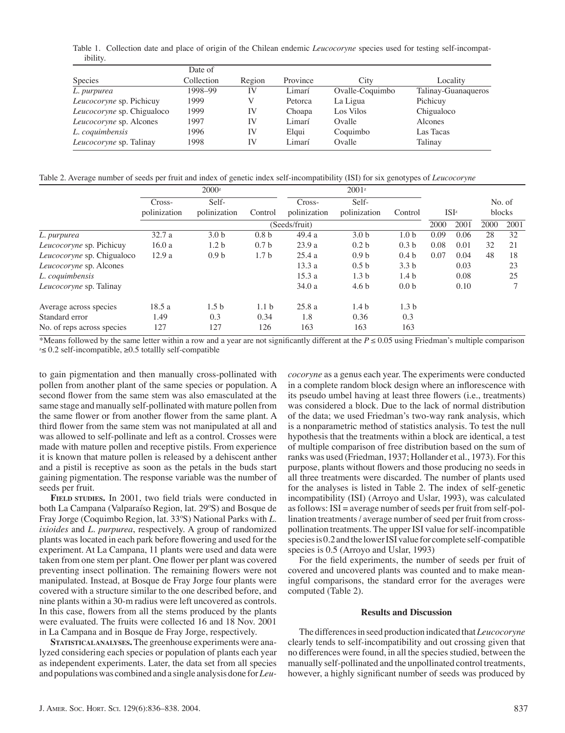Table 1. Collection date and place of origin of the Chilean endemic *Leucocoryne* species used for testing self-incompatibility.

|                            | Date of    |        |          |                 |                     |  |  |
|----------------------------|------------|--------|----------|-----------------|---------------------|--|--|
| Species                    | Collection | Region | Province | City            | Locality            |  |  |
| L. purpurea                | 1998-99    | IV     | Limarí   | Ovalle-Coquimbo | Talinay-Guanaqueros |  |  |
| Leucocoryne sp. Pichicuy   | 1999       | V      | Petorca  | La Ligua        | Pichicuy            |  |  |
| Leucocoryne sp. Chigualoco | 1999       | IV     | Choapa   | Los Vilos       | Chigualoco          |  |  |
| Leucocoryne sp. Alcones    | 1997       | IV     | Limarí   | Ovalle          | Alcones             |  |  |
| L. coquimbensis            | 1996       | IV     | Elqui    | Coquimbo        | Las Tacas           |  |  |
| Leucocoryne sp. Talinay    | 1998       | IV     | Limarí   | Ovalle          | Talinay             |  |  |

Table 2. Average number of seeds per fruit and index of genetic index self-incompatibility (ISI) for six genotypes of *Leucocoryne* 

|                                | 2000z         |                  |                  |                        |                       |                  |                  |      |        |        |
|--------------------------------|---------------|------------------|------------------|------------------------|-----------------------|------------------|------------------|------|--------|--------|
|                                | $Cross-$      | Self-            | Control          | Cross-<br>polinization | Self-<br>polinization | Control          |                  |      |        | No. of |
|                                | polinization  | polinization     |                  |                        |                       |                  | ISI <sup>z</sup> |      | blocks |        |
|                                | (Seeds/fruit) |                  |                  |                        |                       |                  | 2000             | 2001 | 2000   | 2001   |
| L. purpurea                    | 32.7a         | 3.0 <sub>b</sub> | 0.8 <sub>b</sub> | 49.4 a                 | 3.0 <sub>b</sub>      | 1.0 <sub>b</sub> | 0.09             | 0.06 | 28     | 32     |
| Leucocoryne sp. Pichicuy       | 16.0a         | 1.2 <sub>b</sub> | 0.7 <sub>b</sub> | 23.9a                  | 0.2 <sub>b</sub>      | 0.3 <sub>b</sub> | 0.08             | 0.01 | 32     | 21     |
| Leucocoryne sp. Chigualoco     | 12.9a         | 0.9 <sub>b</sub> | 1.7 <sub>b</sub> | 25.4a                  | 0.9 <sub>b</sub>      | 0.4 <sub>b</sub> | 0.07             | 0.04 | 48     | 18     |
| <i>Leucocoryne</i> sp. Alcones |               |                  |                  | 13.3a                  | 0.5 <sub>b</sub>      | 3.3 <sub>b</sub> |                  | 0.03 |        | 23     |
| L. coquimbensis                |               |                  |                  | 15.3a                  | 1.3 <sub>b</sub>      | 1.4 <sub>b</sub> |                  | 0.08 |        | 25     |
| <i>Leucocoryne</i> sp. Talinay |               |                  |                  | 34.0a                  | 4.6 <sub>b</sub>      | 0.0 <sub>b</sub> |                  | 0.10 |        |        |
| Average across species         | 18.5 a        | 1.5 <sub>b</sub> | 1.1 <sub>b</sub> | 25.8a                  | 1.4 <sub>b</sub>      | 1.3 <sub>b</sub> |                  |      |        |        |
| Standard error                 | 1.49          | 0.3              | 0.34             | 1.8                    | 0.36                  | 0.3              |                  |      |        |        |
| No. of reps across species     | 127           | 127              | 126              | 163                    | 163                   | 163              |                  |      |        |        |

\*Means followed by the same letter within a row and a year are not significantly different at the *P ≤* 0.05 using Friedman's multiple comparison  $\approx$  0.2 self-incompatible,  $≥$ 0.5 totallly self-compatible

to gain pigmentation and then manually cross-pollinated with pollen from another plant of the same species or population. A second flower from the same stem was also emasculated at the same stage and manually self-pollinated with mature pollen from the same flower or from another flower from the same plant. A third flower from the same stem was not manipulated at all and was allowed to self-pollinate and left as a control. Crosses were made with mature pollen and receptive pistils. From experience it is known that mature pollen is released by a dehiscent anther and a pistil is receptive as soon as the petals in the buds start gaining pigmentation. The response variable was the number of seeds per fruit.

FIELD STUDIES. In 2001, two field trials were conducted in both La Campana (Valparaíso Region, lat. 29ºS) and Bosque de Fray Jorge (Coquimbo Region, lat. 33ºS) National Parks with *L. ixioides* and *L. purpurea*, respectively. A group of randomized plants was located in each park before flowering and used for the experiment. At La Campana, 11 plants were used and data were taken from one stem per plant. One flower per plant was covered preventing insect pollination. The remaining flowers were not manipulated. Instead, at Bosque de Fray Jorge four plants were covered with a structure similar to the one described before, and nine plants within a 30-m radius were left uncovered as controls. In this case, flowers from all the stems produced by the plants were evaluated. The fruits were collected 16 and 18 Nov. 2001 in La Campana and in Bosque de Fray Jorge, respectively.

**STATISTICAL ANALYSES.**The greenhouse experiments were analyzed considering each species or population of plants each year as independent experiments. Later, the data set from all species and populations was combined and a single analysis done for *Leu-* *cocoryne* as a genus each year. The experiments were conducted in a complete random block design where an inflorescence with its pseudo umbel having at least three flowers (i.e., treatments) was considered a block. Due to the lack of normal distribution of the data; we used Friedman's two-way rank analysis, which is a nonparametric method of statistics analysis. To test the null hypothesis that the treatments within a block are identical, a test of multiple comparison of free distribution based on the sum of ranks was used (Friedman, 1937; Hollander et al., 1973). For this purpose, plants without flowers and those producing no seeds in all three treatments were discarded. The number of plants used for the analyses is listed in Table 2. The index of self-genetic incompatibility (ISI) (Arroyo and Uslar, 1993), was calculated as follows: ISI = average number of seeds per fruit from self-pollination treatments / average number of seed per fruit from crosspollination treatments. The upper ISI value for self-incompatible species is 0.2 and the lower ISI value for complete self-compatible species is 0.5 (Arroyo and Uslar, 1993)

For the field experiments, the number of seeds per fruit of covered and uncovered plants was counted and to make meaningful comparisons, the standard error for the averages were computed (Table 2).

#### **Results and Discussion**

The differences in seed production indicated that *Leucocoryne*  clearly tends to self-incompatibility and out crossing given that no differences were found, in all the species studied, between the manually self-pollinated and the unpollinated control treatments, however, a highly significant number of seeds was produced by